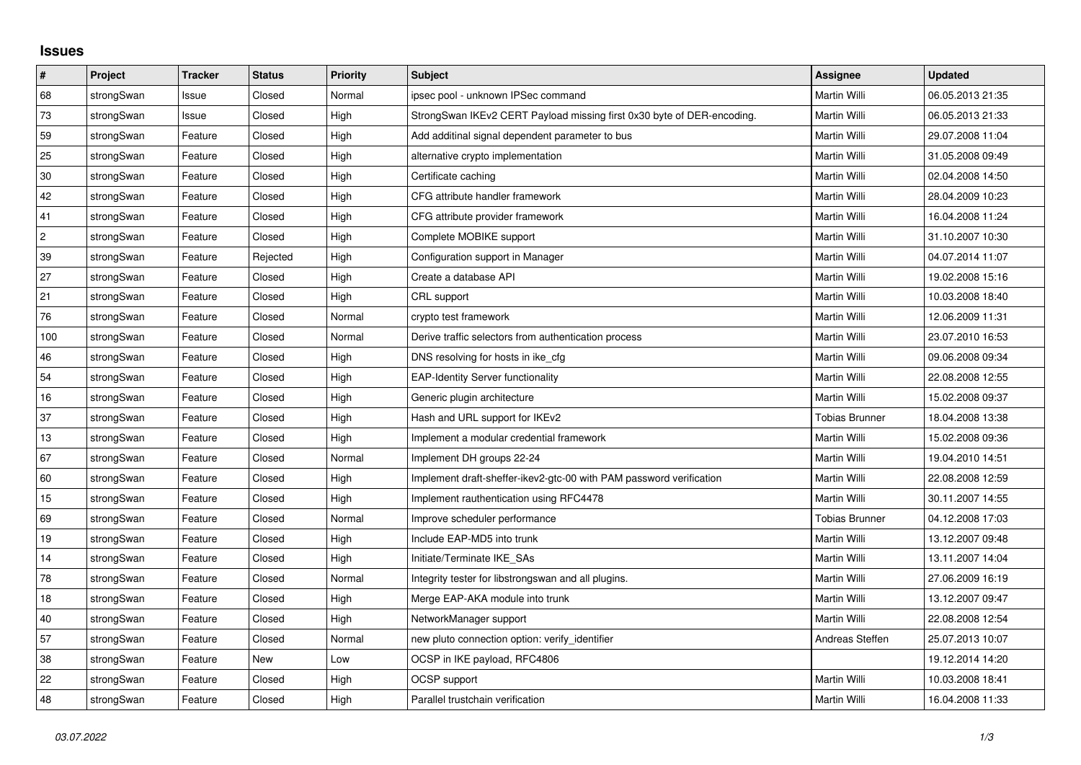## **Issues**

| $\vert$ #      | Project    | <b>Tracker</b> | <b>Status</b> | Priority | <b>Subject</b>                                                         | Assignee              | <b>Updated</b>   |
|----------------|------------|----------------|---------------|----------|------------------------------------------------------------------------|-----------------------|------------------|
| 68             | strongSwan | Issue          | Closed        | Normal   | ipsec pool - unknown IPSec command                                     | <b>Martin Willi</b>   | 06.05.2013 21:35 |
| 73             | strongSwan | Issue          | Closed        | High     | StrongSwan IKEv2 CERT Payload missing first 0x30 byte of DER-encoding. | Martin Willi          | 06.05.2013 21:33 |
| 59             | strongSwan | Feature        | Closed        | High     | Add additinal signal dependent parameter to bus                        | Martin Willi          | 29.07.2008 11:04 |
| 25             | strongSwan | Feature        | Closed        | High     | alternative crypto implementation                                      | Martin Willi          | 31.05.2008 09:49 |
| $30\,$         | strongSwan | Feature        | Closed        | High     | Certificate caching                                                    | Martin Willi          | 02.04.2008 14:50 |
| 42             | strongSwan | Feature        | Closed        | High     | CFG attribute handler framework                                        | Martin Willi          | 28.04.2009 10:23 |
| 41             | strongSwan | Feature        | Closed        | High     | CFG attribute provider framework                                       | <b>Martin Willi</b>   | 16.04.2008 11:24 |
| $\overline{c}$ | strongSwan | Feature        | Closed        | High     | Complete MOBIKE support                                                | Martin Willi          | 31.10.2007 10:30 |
| 39             | strongSwan | Feature        | Rejected      | High     | Configuration support in Manager                                       | Martin Willi          | 04.07.2014 11:07 |
| 27             | strongSwan | Feature        | Closed        | High     | Create a database API                                                  | <b>Martin Willi</b>   | 19.02.2008 15:16 |
| 21             | strongSwan | Feature        | Closed        | High     | CRL support                                                            | <b>Martin Willi</b>   | 10.03.2008 18:40 |
| 76             | strongSwan | Feature        | Closed        | Normal   | crypto test framework                                                  | Martin Willi          | 12.06.2009 11:31 |
| 100            | strongSwan | Feature        | Closed        | Normal   | Derive traffic selectors from authentication process                   | <b>Martin Willi</b>   | 23.07.2010 16:53 |
| 46             | strongSwan | Feature        | Closed        | High     | DNS resolving for hosts in ike_cfg                                     | Martin Willi          | 09.06.2008 09:34 |
| 54             | strongSwan | Feature        | Closed        | High     | <b>EAP-Identity Server functionality</b>                               | Martin Willi          | 22.08.2008 12:55 |
| 16             | strongSwan | Feature        | Closed        | High     | Generic plugin architecture                                            | <b>Martin Willi</b>   | 15.02.2008 09:37 |
| 37             | strongSwan | Feature        | Closed        | High     | Hash and URL support for IKEv2                                         | <b>Tobias Brunner</b> | 18.04.2008 13:38 |
| 13             | strongSwan | Feature        | Closed        | High     | Implement a modular credential framework                               | Martin Willi          | 15.02.2008 09:36 |
| 67             | strongSwan | Feature        | Closed        | Normal   | Implement DH groups 22-24                                              | <b>Martin Willi</b>   | 19.04.2010 14:51 |
| 60             | strongSwan | Feature        | Closed        | High     | Implement draft-sheffer-ikev2-gtc-00 with PAM password verification    | Martin Willi          | 22.08.2008 12:59 |
| 15             | strongSwan | Feature        | Closed        | High     | Implement rauthentication using RFC4478                                | Martin Willi          | 30.11.2007 14:55 |
| 69             | strongSwan | Feature        | Closed        | Normal   | Improve scheduler performance                                          | <b>Tobias Brunner</b> | 04.12.2008 17:03 |
| 19             | strongSwan | Feature        | Closed        | High     | Include EAP-MD5 into trunk                                             | Martin Willi          | 13.12.2007 09:48 |
| 14             | strongSwan | Feature        | Closed        | High     | Initiate/Terminate IKE SAs                                             | Martin Willi          | 13.11.2007 14:04 |
| 78             | strongSwan | Feature        | Closed        | Normal   | Integrity tester for libstrongswan and all plugins.                    | <b>Martin Willi</b>   | 27.06.2009 16:19 |
| 18             | strongSwan | Feature        | Closed        | High     | Merge EAP-AKA module into trunk                                        | Martin Willi          | 13.12.2007 09:47 |
| $40\,$         | strongSwan | Feature        | Closed        | High     | NetworkManager support                                                 | <b>Martin Willi</b>   | 22.08.2008 12:54 |
| 57             | strongSwan | Feature        | Closed        | Normal   | new pluto connection option: verify_identifier                         | Andreas Steffen       | 25.07.2013 10:07 |
| 38             | strongSwan | Feature        | <b>New</b>    | Low      | OCSP in IKE payload, RFC4806                                           |                       | 19.12.2014 14:20 |
| 22             | strongSwan | Feature        | Closed        | High     | OCSP support                                                           | <b>Martin Willi</b>   | 10.03.2008 18:41 |
| 48             | strongSwan | Feature        | Closed        | High     | Parallel trustchain verification                                       | Martin Willi          | 16.04.2008 11:33 |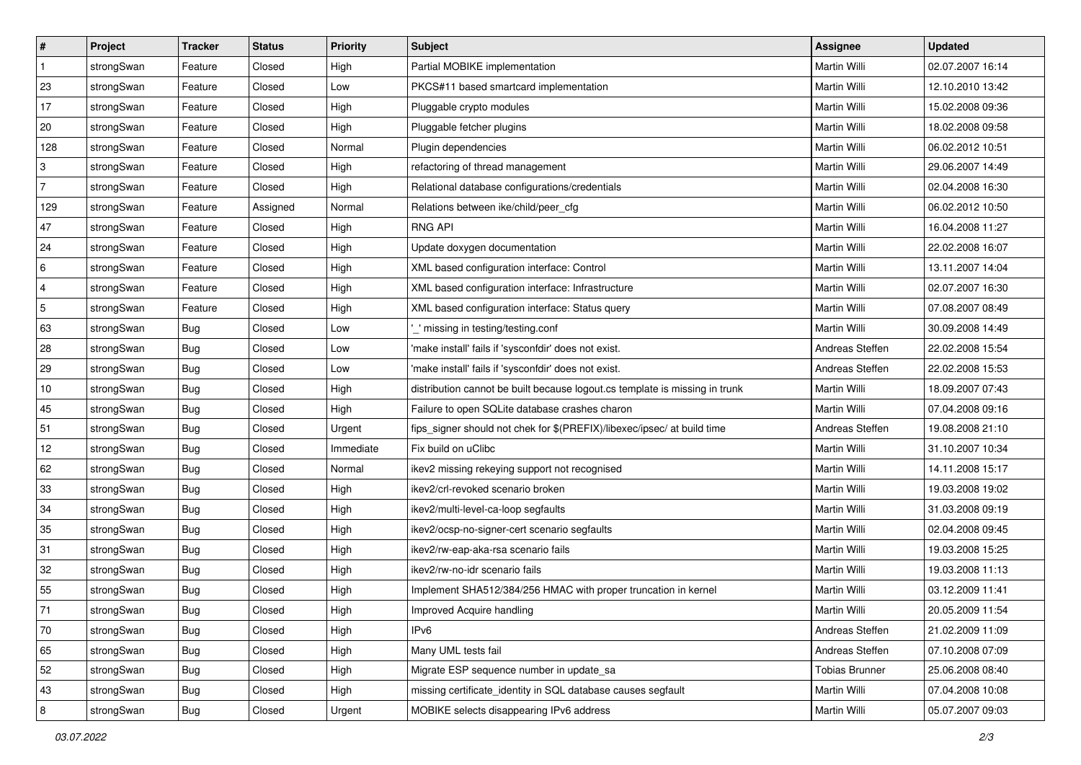| $\vert$ #      | Project    | <b>Tracker</b> | <b>Status</b> | Priority  | <b>Subject</b>                                                              | <b>Assignee</b>       | <b>Updated</b>   |
|----------------|------------|----------------|---------------|-----------|-----------------------------------------------------------------------------|-----------------------|------------------|
| $\mathbf{1}$   | strongSwan | Feature        | Closed        | High      | Partial MOBIKE implementation                                               | Martin Willi          | 02.07.2007 16:14 |
| 23             | strongSwan | Feature        | Closed        | Low       | PKCS#11 based smartcard implementation                                      | <b>Martin Willi</b>   | 12.10.2010 13:42 |
| $17$           | strongSwan | Feature        | Closed        | High      | Pluggable crypto modules                                                    | Martin Willi          | 15.02.2008 09:36 |
| 20             | strongSwan | Feature        | Closed        | High      | Pluggable fetcher plugins                                                   | Martin Willi          | 18.02.2008 09:58 |
| 128            | strongSwan | Feature        | Closed        | Normal    | Plugin dependencies                                                         | Martin Willi          | 06.02.2012 10:51 |
| 3              | strongSwan | Feature        | Closed        | High      | refactoring of thread management                                            | Martin Willi          | 29.06.2007 14:49 |
| $\overline{7}$ | strongSwan | Feature        | Closed        | High      | Relational database configurations/credentials                              | Martin Willi          | 02.04.2008 16:30 |
| 129            | strongSwan | Feature        | Assigned      | Normal    | Relations between ike/child/peer_cfg                                        | Martin Willi          | 06.02.2012 10:50 |
| 47             | strongSwan | Feature        | Closed        | High      | <b>RNG API</b>                                                              | Martin Willi          | 16.04.2008 11:27 |
| 24             | strongSwan | Feature        | Closed        | High      | Update doxygen documentation                                                | Martin Willi          | 22.02.2008 16:07 |
| 6              | strongSwan | Feature        | Closed        | High      | XML based configuration interface: Control                                  | Martin Willi          | 13.11.2007 14:04 |
| 4              | strongSwan | Feature        | Closed        | High      | XML based configuration interface: Infrastructure                           | Martin Willi          | 02.07.2007 16:30 |
| $\sqrt{5}$     | strongSwan | Feature        | Closed        | High      | XML based configuration interface: Status query                             | Martin Willi          | 07.08.2007 08:49 |
| 63             | strongSwan | Bug            | Closed        | Low       | ' missing in testing/testing.conf                                           | Martin Willi          | 30.09.2008 14:49 |
| 28             | strongSwan | <b>Bug</b>     | Closed        | Low       | 'make install' fails if 'sysconfdir' does not exist.                        | Andreas Steffen       | 22.02.2008 15:54 |
| 29             | strongSwan | Bug            | Closed        | Low       | 'make install' fails if 'sysconfdir' does not exist.                        | Andreas Steffen       | 22.02.2008 15:53 |
| 10             | strongSwan | <b>Bug</b>     | Closed        | High      | distribution cannot be built because logout.cs template is missing in trunk | Martin Willi          | 18.09.2007 07:43 |
| 45             | strongSwan | <b>Bug</b>     | Closed        | High      | Failure to open SQLite database crashes charon                              | Martin Willi          | 07.04.2008 09:16 |
| 51             | strongSwan | Bug            | Closed        | Urgent    | fips_signer should not chek for \$(PREFIX)/libexec/ipsec/ at build time     | Andreas Steffen       | 19.08.2008 21:10 |
| 12             | strongSwan | Bug            | Closed        | Immediate | Fix build on uClibc                                                         | Martin Willi          | 31.10.2007 10:34 |
| 62             | strongSwan | <b>Bug</b>     | Closed        | Normal    | ikev2 missing rekeying support not recognised                               | Martin Willi          | 14.11.2008 15:17 |
| 33             | strongSwan | <b>Bug</b>     | Closed        | High      | ikev2/crl-revoked scenario broken                                           | Martin Willi          | 19.03.2008 19:02 |
| 34             | strongSwan | <b>Bug</b>     | Closed        | High      | ikev2/multi-level-ca-loop segfaults                                         | Martin Willi          | 31.03.2008 09:19 |
| 35             | strongSwan | <b>Bug</b>     | Closed        | High      | ikev2/ocsp-no-signer-cert scenario segfaults                                | Martin Willi          | 02.04.2008 09:45 |
| 31             | strongSwan | Bug            | Closed        | High      | ikev2/rw-eap-aka-rsa scenario fails                                         | Martin Willi          | 19.03.2008 15:25 |
| 32             | strongSwan | <b>Bug</b>     | Closed        | High      | ikev2/rw-no-idr scenario fails                                              | Martin Willi          | 19.03.2008 11:13 |
| 55             | strongSwan | Bug            | Closed        | High      | Implement SHA512/384/256 HMAC with proper truncation in kernel              | Martin Willi          | 03.12.2009 11:41 |
| $71\,$         | strongSwan | Bug            | Closed        | High      | Improved Acquire handling                                                   | Martin Willi          | 20.05.2009 11:54 |
| 70             | strongSwan | Bug            | Closed        | High      | IPv6                                                                        | Andreas Steffen       | 21.02.2009 11:09 |
| 65             | strongSwan | Bug            | Closed        | High      | Many UML tests fail                                                         | Andreas Steffen       | 07.10.2008 07:09 |
| 52             | strongSwan | Bug            | Closed        | High      | Migrate ESP sequence number in update_sa                                    | <b>Tobias Brunner</b> | 25.06.2008 08:40 |
| 43             | strongSwan | Bug            | Closed        | High      | missing certificate_identity in SQL database causes segfault                | Martin Willi          | 07.04.2008 10:08 |
| $\bf 8$        | strongSwan | Bug            | Closed        | Urgent    | MOBIKE selects disappearing IPv6 address                                    | Martin Willi          | 05.07.2007 09:03 |